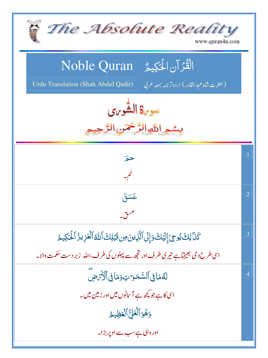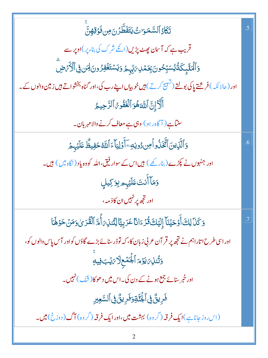| تَكَادُ ٱلسَّمَىَ كَتَفَطَّرُنَ مِن ذَوْقِهِنَّ                                                                                      | .5 |
|--------------------------------------------------------------------------------------------------------------------------------------|----|
| قریب ہے کہ آس <mark>ان پ</mark> ھٹ پڑیں(انکے شرک کی بناء پر )اوپر سے                                                                 |    |
| <b>ۯ</b> ٲڷٙٮ <i>ڬٙ</i> ڸٟػۘڎ۠ؽ۠ؗٮٮؘؾؚۨڂ۠ۅڽؘۼؚػڡٛڸ؆ؚؠۨ <sub>ڹ</sub> ؖؽٙ؋ؾۺٙ <del>ٮؘٞۘڡ۬</del> ۫ڣۯ۠ۄڹڶ <i>ۣۻ</i> ؖٚ۞ٲڷٲؘ <i>ۮٙ</i> ۻؖ |    |
| اور ( حالا نکہ ) فر شتے پاکی بولتے (تشییج کرتے ) ہیں خوبیاں اپنے رب کی،اور گناہ بخشواتے ہیں زمین والوں کے ۔                          |    |
| أَلَاَ إِنَّ ٱللَّهَهُوَ ٱلۡغَفُومُ ٱلرَّحِيمُ                                                                                       |    |
| سنتاہے ( آگاہ رہو ) وہی ہے معاف کرنے والامہر بان۔                                                                                    |    |
| وَٱلَّذِينَ ٱتَّخَذُواۡ مِن دُونِهِۦٓ أَوۡلِيَآءَ ٱللَّهُ حَفِيظٌ عَلَيۡهِـمَ                                                        | .6 |
| اور جنہوں نے پکڑے ( بنارکھے ) ہیں اس کے سوار فیق،اللہ کووہ یاد ( نگاہ میں ) ہیں۔                                                     |    |
| وَمَآ أَنتَ عَلَيْهِم بِوَكِيلٍ                                                                                                      |    |
| اور ت <mark>جھ پر نہیں ان کا</mark> ذ مہ <sup>ے</sup>                                                                                |    |
| وَكَنَا لِكَ أَوْحَيْنَآ إِلَيَكَ قُرۡءَانَاۤ عَرَبِيَّاۤ لِتُنذِىٓ أُمَّ ٱلْقُرَىٰ وَمَنۡ حَوۡهَاۤ                                  |    |
| اور اسی طرح اتاراہم نے تجھ پر قر آن عربی زبان کا، کہ توڈر سنائے بڑے گاؤں کواور آس پاس والوں کو،                                      |    |
| وَتُّنْذِينَ يَوْمَ أَجْمَعِلَا يَهْبَ فِيهِ                                                                                         |    |
| اور خبر سنائے جمع ہونے کے دن کی۔اس میں دھوکا(شَک) نہیں۔                                                                              |    |
| فَرِيقٌ فِى ٱلْجُنَّةِوَفَرِيقٌ فِى ٱلسَّعِيرِ                                                                                       |    |
| (اس روز جاناہے)ایک <b>فرقہ</b> (گروہ) بہشت <b>میں،اورایک فرقہ</b> (گروہ) آگ (دوزخ)میں۔                                               |    |
|                                                                                                                                      |    |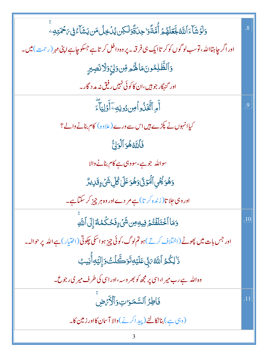| <u>و</u> َلَوۡ شَأۡءَ ٱللَّهُ لَجَعَلَهُمۡ أُمَّةً وَاحِلَةًوَلَٰكِن يُلۡخِلُ مَن يَشَآءُ فِى مَحۡمَتِهِۦ      | .8  |
|----------------------------------------------------------------------------------------------------------------|-----|
| اور اگر چاہتااللہ ، توسب لوگوں کوکر تاایک ہی فرقہ ۔ پر وہ داخل کر تاہے جسکو چاہے اپنی مہر (رحمت ) <b>می</b> ں۔ |     |
| وَٱلظَّلِمُونَ مَا لَهُمْ مِّن رَلِّ وَلَا نَصِبِرٍ                                                            |     |
| اور گنہگار جو ہیں،ان کا کوئی نہیں رفیق نہ مد د گار۔                                                            |     |
| أَمِ اتَّغَلُّواُ مِن دُونِهِ~آَوَلِيَآَءَ                                                                     | .9  |
| کیاانہوں نے پکڑے ہیں اس سے ورے (علاوہ) کام بنانے والے؟                                                         |     |
| فَأَللَّهُ هُوَ ٱلْوَلِّ                                                                                       |     |
| سواللہ جو ہے،سووہی ہے کام بنانے والا                                                                           |     |
| <u>وَهُوَيُّحِّي ٱلۡمَوۡٓئَۥٰوَهُوَ عَلَىٰ كُلِّ شَىۡءٍقَارِيزٌ</u>                                            |     |
| اور وہی جلا تا( زندہ کرتا)ہے مر دے اور وہ ہر چیز کر سکتاہے۔                                                    |     |
| وَمَا ٱخۡتَلَفۡتُمۡ فِيهِصِن شَىۡ ۚ وَحُكَٰكُمُهُمۡ إِلَى ٱللَّهِ                                              | .10 |
| اور جس بات میں پھوٹے (اختلاف کرتے)ہو تم لوگ،کوئی چیز ہواسکی چکوتی (اختیار) ہے اللہ پر حوالہ۔                   |     |
| ۮٙ <sup>ٚ</sup> ڶؚػ۠ۿ۩۠ڷڷ <i>ڠ؆</i> ۪ڹۨٚ؏ؘڶؽ <sub>ٙ</sub> ۊؚؾۄۜڴڷؾ۠ۏٳ۪ڶؽٙۊؚٲٚٛڹۣۑٮٜ۠                           |     |
| وہ اللہ ہے رب میر ا،اسی پر مجھ کو بھر وسہ ،اور اسی کی طرف میر کی رجوع۔                                         |     |
| فاطِرُ السَّمَرَاتِ وَالْأَرَضِ                                                                                | .11 |
| (وہی ہے) بنا نکالنے (پید اکرنے)والا آس <b>ان کااور زمین کا۔</b>                                                |     |
|                                                                                                                |     |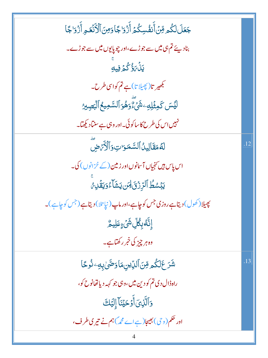| جَعَلَ لَكُم مِّنَ أَنفُسِكُمُ أَزْوَاجًاوَمِنَ ٱلْأَنۡعَمِ أَزۡوَاجًا    |     |
|---------------------------------------------------------------------------|-----|
| بنادیئے تم ہی میں سے جوڑے،اور چوپایوں میں سے جوڑے۔                        |     |
| <u>ي</u> َلۡ7ُوۡ کُمۡ فِيهِ                                               |     |
| .<br>بکھیر تا(پھیلا تا)ہے تم کواسی طرح۔                                   |     |
| ڶؽٙٙۺؘػڡؚؿؘ۫ڸڡؚۦۺؘ۬ؽؖٞۦٞؖٛۄؘۿ۫ۅؘٲڵۺۜڡؚؽڂٱڶڹؖڝؚێۯ                          |     |
| نہیں اس کی طرح کا ساکوئی۔اور وہی ہے سنتاد کیھتا۔                          |     |
| لَّهُ مَقَالِينُ ٱلسَّمَوَاتِ وَٱلْأَرَّضَ                                | .12 |
| اس پاس ہیں تخیاں آسانوں اور زمین (کے خزانوں) کی۔                          |     |
| يَبۡسُطُ ٱلرِّزۡقَالِهَن يَشَآءُوَيَقَٰٓلِهُ                              |     |
| پھیلا(کھول) دیتاہے روزی جس کو چاہے،اور ماپ (نپا تلا) دیتاہے (جس کو چاہے)۔ |     |
| ۪ٳڹۜۧڡ۠ڹؚڴڸۺؙٙۦؚۣ؏ؘڸۑؖڴ                                                   |     |
| وہ ہر چیز کی خبر رکھتاہے۔                                                 |     |
| ۺؘڒٙۼڷػ۠۫ٙۄڡؚۜٞڽٲڶڸۨٙؾڹۣڡؘٲۏڞؖؠؗٚڹؚڣٷٛۘڂٲ                                 | .13 |
| راه ڈال دی تم کو دین میں ،وبی جو کہہ دیا تھانوح کو،                       |     |
| وَٱلَّذِىَ أَوۡحَيۡنَآۤۤ إِلَيۡكَ                                         |     |
| اور حکم(وحی) بھیجا(ہےاے مچر)ہم نے تیری طرف،                               |     |
|                                                                           |     |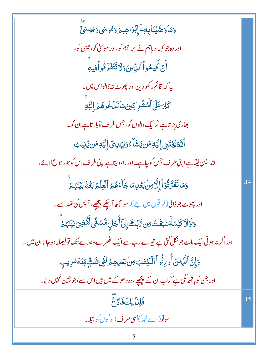| <mark>وَمَاوَصَّيۡنَابِ</mark> تِ ۚإِبۡرَاهِيمَ <b>ر</b> َمُوسَىٰوَعِيْسَىٰٓ                           |     |
|--------------------------------------------------------------------------------------------------------|-----|
| اور وہ جو کہہ دیاہم نے ابر اہیم کو،اور موسیٰ کو،عیسیٰ کو،                                              |     |
| ٲؖڽؙٲؘٛۊؚڽڡ۠ۅٱٲڵڸۨؾۜۥؘۏڶٲؾؘڠؘڗٞۊ۠ۏٲڣۣۑؗٶۜ                                                              |     |
| ىيە كە قائم ركھودين اور پھوٹ نە <u>ڑ</u> الواس مىن _                                                   |     |
| كَبْرَعَلَى ٱلْهُشْرِ كِينَ مَاتَدْعُوهُمْ إِلَيْهِ                                                    |     |
| بھاری پڑ تاہے شر یک والوں کو، جس طر ف توبلا تاہے ان کو۔                                                |     |
| ٱللَّهُ يَجۡنَبِىٓ إِلۡيَٰٓلِهِمَن يَشَآءُوَيَهۡلِىٓ إِلَيۡلِهِمَن يُٰٓنِيبُ                           |     |
| اللہ چن لیتاہے اپنی طرف جس کو چاہے۔اور راہ دیتاہے اپنی طرف اس کو جو رجوع لائے،                         |     |
| وَمَاتَفَرَّقُوٓ أَإِلَّا مِنْ بَعۡلِمَا جَآءَهُمُ ٱلۡعِلۡمُ بَغۡيَٰٓا بَيۡنَهُمۡ                      |     |
| اور پھوٹ جو ڈالی( فر قوں میں بٹے )،سوسمجھ آچکے پیچھے، آپس کی ضد سے۔                                    |     |
| <u>ۅٙ</u> ڶۏٙڶٲػڸڡؘڟٞۨٛۺڹڨؘٮٛٙ؈ؚ <i>ۥ؆ۑؚۨ</i> ٚڮٵۣ۪ڶؘٲۧٙڿڸؚ؋۠۠ۺۼؖٞؽڶؖڦٞٛۻ <i>ؽ</i> ڹؘؠٛؽۨ <sup>ٙ</sup> |     |
| اور اگر نہ ہوتی ایک بات جو نکل گئی ہے تیرے رب سے ایک ٹھہرے وعدے تک تو فیصلہ ہو جا تاان میں۔            |     |
| وَإِنَّ ٱلَّذِينَ أُورِثُواْ ٱلْكِتَبَ مِنْ بَعۡدِهِمۡ لَفِى شَكِّ مِّنۡهُ مُرِيبٍ                     |     |
| اور جن کوہاتھ لگی ہے کتاب ان کے پیچھے،وہ دھوکے میں ہیں اس سے،جو چین نہیں دیتا۔                         |     |
| فَلِلَ لِكَ فَأَدْعٌ                                                                                   | .15 |
| سونو(اے مجمہ)اُسی طرف(لو گوں کو) مُلا۔                                                                 |     |
| Ć                                                                                                      |     |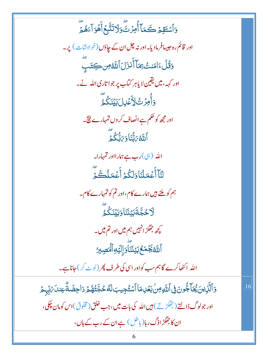وَٱسۡتَقِمۡ كَمَآ أُمِرۡتَّ وَلَاتَتَّبِعۡۖ أَهُوَآءَهُمۡٓ اور قائم رہ حبیبافرمادیا۔اور نہ چل ان کے چاؤں (خواہشات) پر۔ وَقُلْءَامَنتُ بِمَآ أَنزَلَ ٱللَّهُ مِن كِتَب اور کہہ، میں یقین لا پاہر کتاب پر جوا تاری اللہ نے۔ <u>ۅ</u>ٲٚڡۯٮ۠ٳڵٳؘػۺڶڹؽڹػڴۄۜؖ اور مجھ کو حکم ہے انصاف کر وں تمہارے نتیج۔ .<br>اَللَّهُ رَبُّنَا دَيَنَّكُمۡ لَ اللہ (ہی)رب ہے ہمارااور تمہارا۔ لَنَآأَعۡمَلۡنَاوَلَكُمۡ أَعۡمَلُكُمۡ ہم کو ملنے ہیں ہمارے کام،اور تم کو تمہارے کام۔ ٳ<br>ڵٳڂڿؖ**ڐؘڹ**ؘؿۣڹؘڹؘٲۏ*ڹ*ؘؽڹؘػۢۮ۠ کچھ جھگڑ انہیں ہم میں اور تم میں۔<br>\*\* ٱللَّهُ يَجۡمَعُ؋َيۡنَنَّاوَٳلِّيۡوِٱلۡصَٰبِيرُ اللہ اکٹھاکرے گاہم سب کواوراسی کی طرف پھر (لوٹ کر) جاناہے۔ <u>ۏ</u>ٲڷؘۜۯؚؾؾؙڲؙٵۧڿ۠ۅڽؘ؈ۣ۬ٲٮ<sub>ڷۜ</sub>ٶؚڛۢڹڡٙٛڸؚڡؘٵٲۺؾ۠ڿؚۑڹڶ*ڟٞ*ڂڿۜؾ۠ۿ۠ؿ<sub>ۮ</sub>ؘٳڿۻؘڎۨٞۼؚڹڶؘ؆ۭڹ<sub>ۨ</sub>ؠؽٙ .16 اور جولوگ ڈالتے ( جھگڑتے ) ہیں اللہ کی بات میں، جب خلق (مخلوق )اس کومان چکی، ان کا جھگڑ اڈگ رہا( یا <sup>طل</sup> ) ہے ان کے رب کے ہاں ،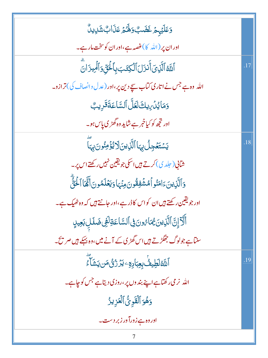| وَعَلَيْهِمْ غَضَبٌ وَلَهُمْ عَذَابٌ شَلِيلٌ                               |     |
|----------------------------------------------------------------------------|-----|
| اور ان پر (الله  کا)غصه ہے،اور ان کوسخت مار ہے۔                            |     |
| ٱللَّهُ ٱلَّذِىَ أَنزَلَ ٱلۡكِتَبَ بِٱلۡلَّىٰٓ وَٱلۡمِیزَانَ               | .17 |
| الله وہ ہے جس نے اتاری کتاب سچے دین پر،اور (عدل دانصاف کی)ترازو۔           |     |
| وَمَايُدُ بِهِكَ لَعَلَّ ٱلسَّاعَةَ قَرِيبٌ                                |     |
| اور ت <mark>جھ کو کیاخبر ہے شاید وہ گھڑی پاس ہو۔</mark>                    |     |
| يَسْتَعُجِلُ بِهَا ٱلَّذِينَ[دَيْؤُمِنُونَ بِهَا                           | .18 |
| شآنې ( جلد ي) کرتے ہيں اسکی جو يقين نہيں رکھتے اس پر۔                      |     |
| وَٱلَّٰٓنِينَءَامَنُواۡمُشۡفِقُونَ مِنۡہَاوَيَعۡلَمُونَ أَنَّمَاۤاۡلَـٰٓئَ |     |
| اور جویقین رکھتے ہیں ان کواس کاڈر ہے،اور جانتے ہیں کہ وہ ٹھیک ہے۔          |     |
| أَلَآ إِنَّ ٱلَّذِينَ يُمَارُونَ فِى ٱلسَّاعَةِلَّفِى ضَلَلِ بَعِيدٍ       |     |
| سنتاہے جولوگ جھگڑتے ہیں اس گھڑی کے آنے میں،وہ بہکے ہیں صریح۔               |     |
| ٳ۩ۜڟڟٟؠڡؙ۠ <mark>ڹؚۼ</mark> ؚڹٳۏؚٶٷۯڗٛڽ۠؋ڹؾؘڵٙٷ                            | .19 |
| اللہ نرمی رکھتاہے اپنے بند وں پر،روزی دیتاہے جس کوچاہے۔                    |     |
| وَهُوَ ٱلۡقَوِیُّ ٱلۡعَزِیزُ                                               |     |
| اور وہ ہے زورآ ور زبر دست۔                                                 |     |
|                                                                            |     |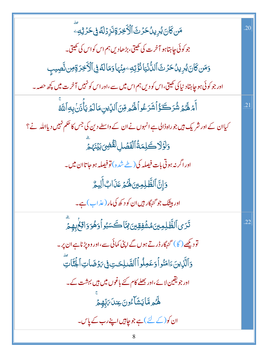| <b>مَن كَانَ يُرِينُ حَرِّثَ ٱلۡأَخِرَةِنَزِرۡلَٰهُۚ فِى حَرۡ ثِهِ ۖ</b>                                 | .20 |
|----------------------------------------------------------------------------------------------------------|-----|
| جو کوئی چاہتاہو آخرت کی کھیتی،بڑھادیں ہم اس کواس کی کھیتی۔                                               |     |
| <u>و</u> َمَن كَانَ يُرِينُ حَرَّتَ ٱلدُّنۡيَانُّؤۡتِهِۦ مِنۡهَاوَمَالَهُ فِى ٱلۡأَخِرَةِمِن نَّصِيبِ    |     |
| اور جو کوئی ہو چاہتاد نیا کی کھیتی،اس کو دیں ہم اس میں سے،اور اس کو نہیں آخر ت میں <del>ک</del> چھ حصہ ۔ |     |
| أَمْ لَهُمْ شُرَكَةُ أَشَرَعُواً لَهُمْ مِّنَ ٱلدِّينِ مَالَمْ يَأْذَنُ بِهِ ٱللَّهُ                     | .21 |
| کیاان کے اور شریک ہیں جو راہڈالی ہے انہوں نے ان کے واسطے دین کی جس کا حکم نہیں دیااللہ نے ؟              |     |
| <u>و</u> َلَوَلَاكَلِمَةُٱلْفَصَٰلِ لَقُّضِىَ بَيۡنَہُ مِّ                                               |     |
| اور اگر نہ ہوتی بات فیصلہ کی (طے ش <sub>ُرہ</sub> )تو فیصلہ ہو جا تاان میں۔                              |     |
| وَإِنَّ ٱلظَّلِمِينَ لَهُمْ عَذَابٌ أَلِيمٌ                                                              |     |
| اور بیشک جو گنہگار <sup>ہ</sup> یں ان کو د <sub>کھ</sub> کی مار ( عذ اپ ) ہے۔                            |     |
| <i>ڐؘۯ</i> ؽٱڵڟؐڸڡؚؾ <i>ؽۿ</i> ۺؙٛڣؚۊؚؾۣ؈ٚٵۜڪؘ؊ڋؚٳٲۏۿؙۏؘۯٳۊۼۢڔؚڥٟ؞ۧؖ                                     | .22 |
| تودیکھے ( گا ) گنہگار ڈرتے ہوں گے اپنی کمائی سے ،اور وہ پڑناہے ان پر۔                                    |     |
| وَٱلَّذِينَ ءَامَنُواْ وَعَمِلُواْٱلصَّلِحَتِ فِى رَوْضَاتِ ٱلْجُنَّاتِ                                  |     |
| اور جویقین لائے،اور بھلے کام کئے باغوں میں ہیں بہشت کے۔                                                  |     |
| ِ<br>ۿ <sub>ػ</sub> ۄۿۜٳؾۺؘٲٷڹ؏ڹڶ؆ؚڹؚۨۿؚؚۄ                                                               |     |
| ان کو(کے لئے) ہے جو چاہیں اپنے رب کے پاس۔                                                                |     |
| 8                                                                                                        |     |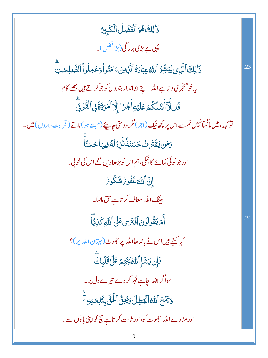| ذَٰ لِكَ هُوَ ٱلْفَضَلُ ٱلْكَبِيرُ                                                                             |     |
|----------------------------------------------------------------------------------------------------------------|-----|
| یہی ہے بڑی بزرگی(بڑافضل)۔                                                                                      |     |
| دَ ٰ لِكَ ٱلَّذِى يُبَشِّرُ ٱللَّهُ عِبَادَةُ ٱلَّذِينَ ءَامَنُو أَوَعَمِلُواْ ٱلصَّلِحَتِ                     | .23 |
| یہ خوشنجر ک <b>ی دیتاہے اللہ اپنے ایماندار بندوں کوجوکرتے ہیں بھلے کام۔</b>                                    |     |
| <u>ػ۠ڶ</u> ڵؖٲٲٛۺٙڵػ۠ؗٙۿؘ؏ؘڶؽ <sub>ٙ</sub> ڡؚٲۜٙؗؗۼڗٙٳٳ۪ڷٵڵٙٶؘڐۊؘۜڣ۩ڶڷٷۯؼؖ                                     |     |
| تو <sub>کہہ</sub> ، میں مانگنانہیں تم سے اس پر پچھ نیگ (اجر) مگر دوستی چاہیئے(محبت ہو)ناتے ( قرابت داروں) میں۔ |     |
| و <i>َمَن يَقۡتَرِ ثَ حَسَنَةً ذَّ</i> رۡرَٰكَ فِيہَا حُسۡنَاۤ                                                 |     |
| اور جو کوئی کمائے گا ٹیکی، ہم اس کو بڑھادیں گے اس کی خو پی۔                                                    |     |
| ٳڹۜٞٳٱللَّةَ غَفُورٌ شَكُورٌ                                                                                   |     |
| بیشک اللہ معاف کر تاہے حق مانتا۔                                                                               |     |
| أَمَّ يَقُولُونَ أَفۡتَرَىٰ عَلَىٰ ٱللَّهِ كَذِبَّا                                                            | .24 |
| کیا کہتے ہیں اس نے باندھااللہ پر حجھوٹ (بہتان اللہ پر)؟                                                        |     |
| <b>فَإِن يَشَإِ ٱللَّهُ يَخْتِمُ عَلَىٰ قَلْبِكَّ</b>                                                          |     |
| سواگراللہ جاہےمہر کر دے تیرے دل پر۔                                                                            |     |
| <b>وَيَمۡحُ ٱللَّهُ ٱلۡبَطِلَ وَيُحِنُّ ٱلۡئَیَّ بِكَلِمَتِهِۦ</b>                                             |     |
| اور مٹادے اللہ حجھوٹ کو،اور ثابت کر تاہے پچ کواپنی باتوں سے۔                                                   |     |
| 9                                                                                                              |     |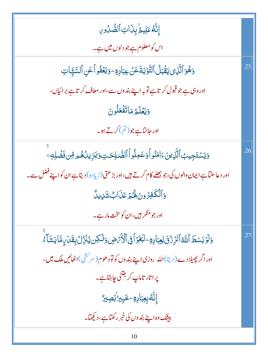إِنَّهُ عَلِيهُ بِذَاتِ ٱلصُّدُورِ اس کومعلوم ہے جو دلوں میں ہے۔ .25 وَهُوَ ٱلَّذِى يَقَْبَلُ ٱلتَّوۡبَةَعَنۡ عِبَادِةِ ۖ وَيَعۡفُواْعَنِ ٱلسَّيَّاتِ اور وہی ہے جو قبول کر تاہے توبہ اپنے بند وں سے،اور معاف کرتاہے برائیاں، وَيَعْلَمُ مَاتَفْعَلُونَ اور جانٽاہے جو (تم) کرتے ہو۔ <u>وَيَ</u>سۡتَجِيبُٱلَّٰٓزِينَءَامَنُواۡوَعَمِلُواۡٱلصَّلِكِتِوَيَزِيلُهُمِ مِّن فَضَٰلِهِۦ .26 اور د عاسنتا ہے ایمان والوں کی، جو بھلے کام کرتے ہیں،اور بڑ ھتی (زیادہ) دیتاہے ان کو اپنے فضل سے۔ <u>وَ</u>ٱلْكَفِرُونَ لَهُمَّ عَذَابٌ شَدِيدٌ اور جو منګر <del>بی</del>ں،ان کوسخت مار ہے۔ <u>و</u>َلَوۡ بَسَطَ ٱللَّهُ ٱلرِّرۡ وَىَ لِعِبَادِهِۦ لَبَعۡوَ أَفِى ٱلۡأَمۡ ضِ وَلَٰكِن يُنَزِّلُ بِقَدَىٰءِ مَّا يَشَأْءُ .27 اور اگر پھیلا دے ( دیتا)اللہ روزی اپنے بندوں کو تو دھوم(سرکشی)اٹھائیں ملک میں، یرا تار تاماپ کر جتنی چاہتاہے۔ ٳۣڹؓڡ۠ۨڹؚۼؚڹٳۮؚۊۦڿۜڹؚڹۯؙڹڝؚڹۯ۠ بیشک وہ اپنے بند وں کی خبر رکھتاہے، دیکھتا۔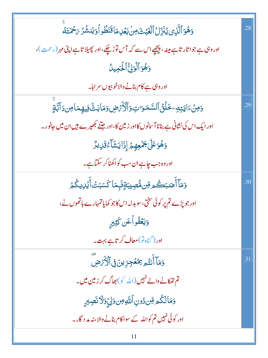| وَهُوَ ٱلَّذِى يُنَزِّلُ ٱلۡغَيۡثَ مِنۡ بَعۡلِمَاقَنَطُواۡ وَيَنشُرُ ىَحۡمَتَكُ          | .28 |
|------------------------------------------------------------------------------------------|-----|
| اور وہی ہے جوا تار تاہے مینہ، پیچھے اس سے کہ آس توڑ چکے،اور پھیلا تاہے اپنی مہر (رحمت)،  |     |
| وَهُوَ ٱلۡوَلِّ ٱلٰۡٓكَمِينُ                                                             |     |
| اور وہی ہے کام بنانے والاخو بیوں سر اہا۔                                                 |     |
| <u>وَمِنْ</u> ءَايَتِهِ خَلْقُ ٱلسَّمَرَاتِ وَٱلْأَيْرَضِ وَمَابَثَّ فِيهِمَامِن دَآتَةٍ | .29 |
| اور ایک اس کی نشانی ہے بنانا آسانوں کااور زمین کا،اور جتنے کبھیرے ہیں ان میں جانور۔      |     |
| دَهُوَعَلَىٰ جَمَٰعِهِمُ إِذَا يَشَآءُقَلِيدٌ                                            |     |
| اور وہ جب چاہے ان سب کو اکھٹا کر سکتاہے۔                                                 |     |
| وَمَآ أَصَبَكُم مِّن مُّصِيبَةٍفَبِمَا كَسَبَتۡ أَيۡلِايكُمۡ                             | .30 |
| اور جو پڑے تم پر کوئی سختی،سو بدلہ اس کاجو کمایاتمہارے ہاتھوں نے،                        |     |
| وَيَعۡفُواۡۖ عَن كَثِيرٍ                                                                 |     |
| اور (گناہ تو)معاف کر تاہے بہت۔                                                           |     |
| وَمَآ أَنتُم تِمُعُجِزِينَ فِى ٱلْأَرَضِ                                                 | .31 |
| تم تھکانے والے نہیں (اللہ کو) بھاگ کر زمین میں۔                                          |     |
| وَمَالِكُمْ وِّن دُونِ ٱللَّهِ مِن وَلِّيِّ وَلَا نَصِبِرٍ                               |     |
| اور کوئی نہیں تم کواللہ کے سواکام بنانے والا،نہ مد د گار۔                                |     |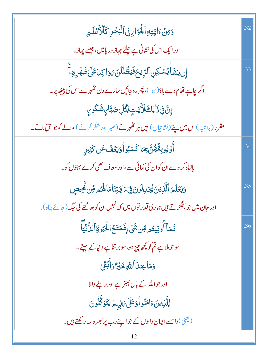| وَمِنۡءَايَتِهِٱلۡجَوَاءِ فِىٱلۡبَحۡدِ كَٱلۡكَٰفَكَهِ                                  | .32 |
|----------------------------------------------------------------------------------------|-----|
| اور ایک اس کی نشانی ہے چلتے جہاز دریامیں، جیسے پہاڑ۔                                   |     |
| ٳۣڹؾؿؘٲٛؽۺڮڹٱڵڗؚؠڂڡؘ۬ؾڟۢڶڷڹٙۥٙۏٳڮٮؘٷٙڸڟٙۿڔۊۦؖٚ                                         | .33 |
| اگر چاہے تھام دے باؤ (ہوا)، پھر رہ جائیں سارے دن کھٰہرے اس کی پیپھٔ پر۔                |     |
| ٳۣڽٞٙۏۣ۬ۮٙٳڸۜڷٵؘڒؘؾؾٟٳڲ۠ڵؚۻڹۜٲؠۣۺؘػۢۅؠۣ                                                |     |
| مقرر (بلاشبہ)اس میں پتے (نشانیاں) ہیں ہر ٹھہرنے (صبر اور شکر کرنے) والے کوجوحق مانے۔   |     |
| آَوۡ يُوبِقَٰهُنَّ بِمَا كَسَبُواۡوَيَعۡفُ عَن كَثِيرٍ                                 | .34 |
| یاتباہ کر دے ان کو ان کی کمائی سے،اور معاف بھی کرے بہتوں کو۔                           |     |
| وَيَعۡلَمَ ٱلَّذِينَ يُجَدِلُونَ فِىٓءَايَتِنَامَا لَهُ مِرِّسِ تَحِيصٍ                | .35 |
| اور جان لیں جو جھگڑتے ہیں ہماری قدر توں میں کہ نہیں ان کو بھاگنے کی جگہ ( جائے پناہ )۔ |     |
| فَمَآ أُوتِيتُم <i>ِ وِّن شَيۡۦ ۚ</i> فَمَتَــُمَّا لَٰٓـٰٰٰٰٰٰٓٓٓٓٓٓالنُّنۡيَّآ       | .36 |
| سوجو ملاہے تم کو کچھ چیز ہو،سوبر تناہے دیاکے جیتے۔                                     |     |
| وَمَاعِندَٱللَّهِخَبِّرُّ وَأَبَّقَىٰ                                                  |     |
| اور جواللہ کے ہاں بہتر ہے اور رہنے والا                                                |     |
| لِلَّذِينَءَامَنُواْوَعَلَىٰ مَيْهِمْ يَتَوَكَّلُونَ                                   |     |
| ( یعنی ) واسطے ایمان والوں کے جواپنے رب پر بھر وسہ رکھتے ہیں۔                          |     |
| 12                                                                                     |     |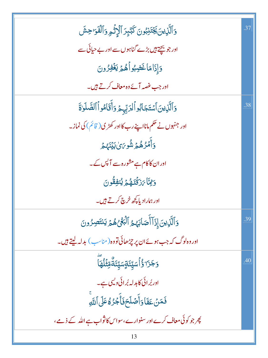| وَٱلَّذِينَ يَجۡتَذِبُونَ كَبَٓبِرَ ٱلۡأَثۡوِ وَٱلۡفَوَاحِشَ                    | .37 |
|---------------------------------------------------------------------------------|-----|
| اور جو بچتے ہیں بڑے گناہوں سے اور بے حیائی سے                                   |     |
| وَإِذَامَاغَضِبُواۡهُمۡ لِنَخۡفِرُونَ                                           |     |
| اور جب غصہ آئے وہ معاف کرتے ہیں۔                                                |     |
| وَٱلَّٰٓنِينَ ٱسۡتَجَابُواۡلِرَبِّهِمۡ وَأَقَامُواۡ ٱلصَّلَوٰنَ                 | .38 |
| اور جنہوں نے حکم مانااپنے رب کااور کھڑی( قائم) کی نماز۔                         |     |
| وَأَمۡرُهُمۡ شُوِىَىٰ بَيۡنَهُ مَ                                               |     |
| اور ان کاکام ہے مشورہ سے آ پس کے۔                                               |     |
| وَلِمَّا يَرْقُنَّهُمَّ يُنْفِقُونَ                                             |     |
| اور ہمارادیا پچھ خرچ کرتے ہیں۔                                                  |     |
| وَٱلَّذِينَ إِذَآ أَصَابَهُمُ ٱلۡبَغۡىٰ هُمۡ يَنتَصِرُونَ                       | .39 |
| اور وہ لوگ کہ جب ہوئےان پر چڑھائی تووہ( مناسب ) بدلہ لیتے ہیں۔                  |     |
| <mark>ۯ<sup>ؚ</sup>ڿٙۯ<sub>ٙٵ</sub>ٙ</mark> ۯ۠ٲٛۺؾۣػۊٟۺؾۣػٙۊۜ۠ۊ <i>ؿ۫</i> ڶٛۿٵؖ | .40 |
| اور بُرائی کابدلہ بُرائی دلیں ہے۔                                               |     |
| فَمَنۡ عَفَاوَأَصۡلَحَوۡأَجۡرُهُۚ عَلَى ٱللَّهِ                                 |     |
| پھر جو کوئی معاف کرے اور سنوارے،سواس کاثواب ہے اللہ کے ذمے،                     |     |
| 13                                                                              |     |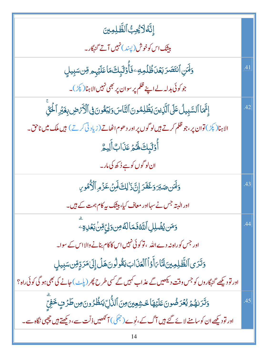| ٳۣڹَّۀڶٲٛؿؙ <sub>ػؚ</sub> ڹ۠ٱڶڟ۠ۜڸڡؚؾ                                                                         |     |
|---------------------------------------------------------------------------------------------------------------|-----|
| <mark>بیٹنک اس کوخوش (پسند) نہیں آتے گنہگار۔</mark>                                                           |     |
| وَلَهَنِ ٱنتَصَرَ بَعُدَظُلُمِهِ ۖ فَأُوَلَٰٓئِكَ مَا عَلَيۡهٖ هِنسَبِيلِ                                     | .41 |
| جو کوئی بدلہ لے اپنے ظلم پر سوان پر بھی نہیں الاہنا( <sup>کپڑ</sup> )۔                                        |     |
| إِنَّهَا ٱلسَّبِيلُ عَلَى ٱلَّذِينَ يَظُلِمُونَ ٱلتَّاسَ وَيَبْعُونَ فِى ٱلْأَرَّصِ بِغَيْرِ ٱلْحَقِّ         | .42 |
| الاہنا( <sup>پکڑ</sup> ) توان پر ،جو ظلم کرتے ہیں لو گوں پر اور دھوم اٹھاتے (زیاد ٹی کرتے ) ہیں ملک میں ناحق۔ |     |
| أُوۡلَٰٓبِكَ لَهُمۡ عَذَابٌ أَلِيمُّ                                                                          |     |
| ان لوگوں کو ہے <sub>ف</sub> ُرکھ کی مار۔                                                                      |     |
| وَلَهَن صَبَرَ وَغَفَرَ إِنَّ ذَٰ لِكَ لَهِنَ عَزْمِ ٱلْأُمُورِ                                               | .43 |
| اور البتہ جس نے سہااور معاف کیا، بیٹک بہ کام ہمت کے ہیں۔                                                      |     |
| وَمَن يُضۡلِلِ ٱللَّهُ فَمَالَهُ مِن وَلِيِّ مِّنۡ بَعۡلِهِ ۚ                                                 | .44 |
| اور جس کوراہ نہ دے اللہ ، تو کوئی نہیں اس کاکام بنانے والا اس کے سوا۔                                         |     |
| وَتَرَى ٱلظَّلِمِينَ لَتَارَأَوُٱ ٱلۡعَذَابَ يَقُولُونَ هَلۡ إِلَىٰ مَرَدٍّ مِّن سَبِيلٍ                      |     |
| اور تو دیکھے گنہگاروں کو جس وقت دیکھیں گے عذاب کہیں گے کسی طرح پھر (پلٹ) جانے کی بھی ہو گی کوئی راہ؟          |     |
| وَتَرَىٰهُمۡ يُعۡرَضُونَ عَلَيۡهَا خَشِعِينَ مِنَ ٱلنُّالِّ يَنظُرُونَ مِن طَرۡ فٍ خَفِّ                      | .45 |
| اور تو دیکھے ان کو سامنے لائے گئے ہیں آگ کے ،نوے ( جھکی ) آنکھیں ذلّت سے ، دیکھتے ہیں چچپی نگاہ سے۔           |     |
|                                                                                                               |     |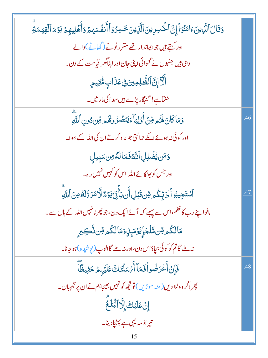| وَقَالَ ٱلَّذِينَ ءَامَنُوٓ أَإِنَّ ٱلۡخَسِرِينَ ٱلَّذِينَ خَسِرُوٓ أَأَنفُسَهُمۡ وَأَهۡلِيهِمۡ يَوۡمَ ٱلۡقِيَمَةِ |     |
|--------------------------------------------------------------------------------------------------------------------|-----|
| اور کہتے <del>ہی</del> ں جوایماندار تھے مقرر ٹوٹے (گھاٹے)والے                                                      |     |
| وہی ہیں جنہوں نے گنوائی اپنی جان اور اپناگھر قیامت کے دن۔                                                          |     |
| ٱلَآإِنَّ ٱلظَّٰلِمِينَ فِى عَذَابٍ مُّقِيمٍ                                                                       |     |
| شن <mark>ٹا ہے! گنہگار پڑے ہی</mark> ں سداکی مار میں۔                                                              |     |
| وَمَاكَانَ لَهُمْ مِّنۡ أَوۡلِيَآءَيَنۡصُرُوهُمُ ۚ مِّن دُونِ ٱللَّهِ                                              | .46 |
| اور کوئی نہ ہوئے اتکے حمائتی جو مد د کرتے ان کی اللہ کے سِوا۔                                                      |     |
| وَمَن يُضَٰلِلِ ٱللَّهُ فَمَالَهُ مِن سَبِيلِ                                                                      |     |
| اور جس کو <sub>بھٹ</sub> کائے اللہ اس کو کہیں نہیں راہ۔                                                            |     |
| ٱۺٙؾؘڿٟؽڹؗۅٱڶؚڗڽؚۜػ۠ۄڡؚۜڹۊؘڹڸٲۜڹؾٲؚ۫ۘڽۣٚؾؘۏؚٙۄ۠ڐۜٚٳڡؘڗڐڷڡٞڡؚڹؘٱڷڐۣ                                                 | .47 |
| مانواپنے رب کا حکم،اس سے پہلے کہ آئے ایک دن،جو پھر نانہیں اللہ کے ہاں سے۔                                          |     |
| مَالکُم <i>ِ وِّن مَّلۡجَ</i> إِيۡدَمَىٰۭنِۗوَمَالکُم <i>وِّن</i> نَّڪِيرٍ                                         |     |
| نه بلے گاتم کو کوئی بچاؤاس دن،اور نہ بلے گاالوپ (پوشی <sub>دہ</sub> )ہو جانا۔                                      |     |
| فَإِنْ أَعْرَضُواْ فَمَآ أَيْهَلْنَكَ عَلَيۡهٖمۡ حَفِيظًآ                                                          | .48 |
| پھر اگر وہ ٹلا دیں(منہ موڑیں) تو تجھ کو نہیں بھیجاہم نے ان پر نگہبان۔                                              |     |
| إِنْ عَلَيْكَ إِلَّا ٱلْبَلَغَّ                                                                                    |     |
| تیراذ مہ یہی ہے پہنچادینا۔                                                                                         |     |
|                                                                                                                    |     |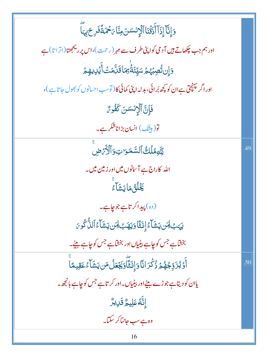| وَإِنَّا إِذَآ أَذَقْنَا ٱلۡإِنسَسَ مِنَّا يَحۡمَدَّنَّكَرِحَ بِہَآ                      |     |
|------------------------------------------------------------------------------------------|-----|
| اور ہم جب چکھاتے ہیں آدمی کواپنی طرف سے مہر (رحمت)،اس پر ریخجھتا(اتراتا)ہے               |     |
| <u>ۘ</u><br>ۮٳؚؗڹ <i>ڐ۠ڝؚڹ۫ؠ۠ڂ</i> ؘۺؾۣۜٸؘڟؗ۠ <sup>ۣ</sup> ؿ <i>ڬ</i> ٲ۠ؿڷۿٮؘٛٲۗؽؙڸٳۑۿٟڂ |     |
| اور اگر پہنچق ہے ان کو کچھ بُر ائی، بدلہ اپنی کمائی کا( توسب احسانوں کو بھول جا تاہے )،  |     |
| فَإِنَّ ٱلْإِنْسَنَ كَفُوسٌ                                                              |     |
| تو(بیثِک) انسان بڑاناشکر ہے۔                                                             |     |
| لِلَّهِمْلَكُ ٱلسَّمَرَ تِ وَٱلْأَرَضِ                                                   | .49 |
| اللہ کاراج ہے آسانوں میں اور زمین میں۔                                                   |     |
| <b>ۘڲؘڶٛڽُ</b> ڡؘٳؾۺؘٳؖۦ                                                                 |     |
| (وہ) پیداکر تاہے جوجاہے۔                                                                 |     |
| ؠ <sub>ڮ</sub> ؠڮڶ <i>۪ڹ</i> ڹڮؘۺؘٲٷٳؚٮ <i>ڎؘؿٲ</i> ۏڮۿٮؚ؋ <i>ڹ</i> ڹڮۺؘٲٷٲڶڷؙ۠ػٛۅؠٙ     |     |
| بخشاہے جس کو چاہے بیٹیاں اور بخشاہے جس کو چاہے بیٹے۔                                     |     |
| ؚ<br>ٲۘۏٙێۢڒؘۊؚۨج۠ۿ۠ۿۯ۠ڬۘۯڶڷۜٲۏٳؚڶؾٞؖٲؖۏؘڲۼٙػڵؙڡؘڹؾؘۺۜٲۦ۠ڠقؚۑڡٵۨ                         | .50 |
| یاان کو دیتاہے جوڑے بیٹےاور بیٹیاں۔اور کر تاہے جس کو چاہے بانچھ۔                         |     |
| ٳڹ <sub>ؖۜ</sub> ۠ڟ <i>؋</i> ڮڸؿۨڒ۠ۊ <i>ٙڸٳڋۯ</i>                                        |     |
| وہ ہےسب جانتاکر سکتا۔                                                                    |     |
| 16                                                                                       |     |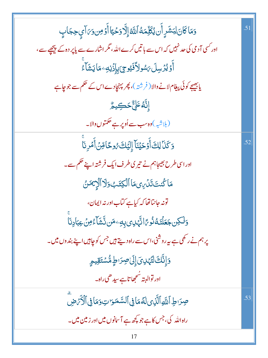| وَمَاكَانَ لِبَشَرٍ أَن يُكَلِّمَهُ ٱللَّهُ إِلَّا رَحۡيَّاۚ أَوۡ مِنۥوَىٰٓ آي حِجَابِ | .51 |
|----------------------------------------------------------------------------------------|-----|
| اور کسی آدمی کی حد نہیں کہ اس سے با تیں کرے اللہ ، مگر اشارے سے پاپر دہ کے پیچھپے ہے ، |     |
| ٲٛۏؽۯڛڶ <i>؆ۺ</i> ۅڵٲڣؘؿۅ <i>ؾۥۣ</i> ۑٳؚۯ۬ڹ؋ٷٳۑؘۺؘٵۧ                                   |     |
| یابھیجے کوئی پیغام لانے والا ( فرشتہ )، پھر پہنچادے اس کے حکم سے جو چاہے               |     |
| ٳ۪ڹؓڡۢٷڸ۠ٞڂڪؚۑۄ۠                                                                       |     |
| (بلاشبہ)وہ سب سے اُوپر ہے حکمتوں والا۔                                                 |     |
| وَكَنَا لِكَ أَوۡحَيۡنَاۤ إِلَيۡكَ رُوحًا مِّنۡ أَمۡرِنَآ                              | .52 |
| اوراسی طرح بھیجاہم نے تیر کی طرف ایک فرشتہ اپنے حکم سے۔                                |     |
| مَاكُنتَتَنَ فِنَ الْكِتَبِ وَلَا أَلْزِيمَنُ                                          |     |
| تونہ جانتا تھا کہ کیاہے کتاب اور نہ ایمان،                                             |     |
| <u>و</u> َلَكِن جَعَلْنَكُنُو رًا نَّهْدِى بِهِۦ مَن نَّشَآءُ مِنۡ عِبَادِنَا          |     |
| پر ہم نے رکھی ہے ہہ روشنی،اس سے راہ دیتے ہیں جس کو چاہیں اپنے بند وں میں۔              |     |
| <u>ۅؘٳ۪ڹ</u> ۜ۠ڬٙڷؾٞؠ؈ؘٳۣڶؾڝڒ؈ٳۿ۠ۺؾؘقۣۑۄؚ                                              |     |
| اور توالېته شحمِچا تاہے سیدھی راہ۔                                                     |     |
| صِرَاطِ ٱللَّهِٱلَّذِىلَهُمَا فِى ٱلسَّمَرَاتِ وَمَا فِى ٱلْأَرَّضِ                    | .53 |
| راہ اللہ کی، جس کاہے جو پچھ ہے آسانوں میں اور زمین میں۔                                |     |
|                                                                                        |     |